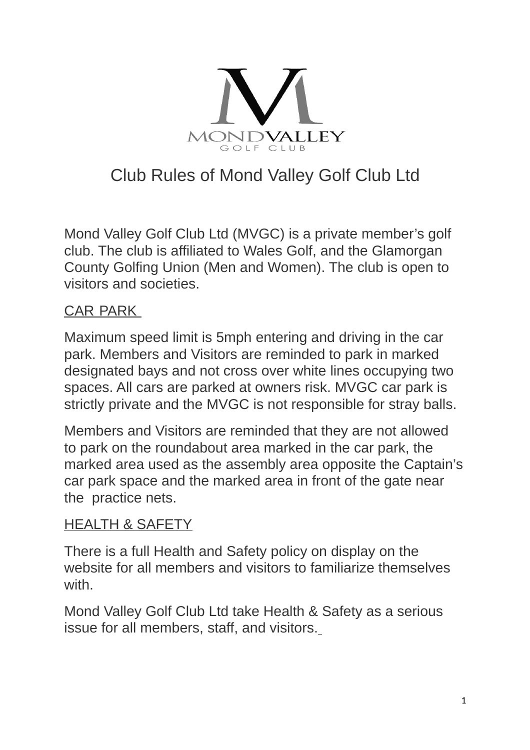

# Club Rules of Mond Valley Golf Club Ltd

Mond Valley Golf Club Ltd (MVGC) is a private member's golf club. The club is affiliated to Wales Golf, and the Glamorgan County Golfing Union (Men and Women). The club is open to visitors and societies.

### CAR PARK

Maximum speed limit is 5mph entering and driving in the car park. Members and Visitors are reminded to park in marked designated bays and not cross over white lines occupying two spaces. All cars are parked at owners risk. MVGC car park is strictly private and the MVGC is not responsible for stray balls.

Members and Visitors are reminded that they are not allowed to park on the roundabout area marked in the car park, the marked area used as the assembly area opposite the Captain's car park space and the marked area in front of the gate near the practice nets.

#### HEALTH & SAFETY

There is a full Health and Safety policy on display on the website for all members and visitors to familiarize themselves with

Mond Valley Golf Club Ltd take Health & Safety as a serious issue for all members, staff, and visitors.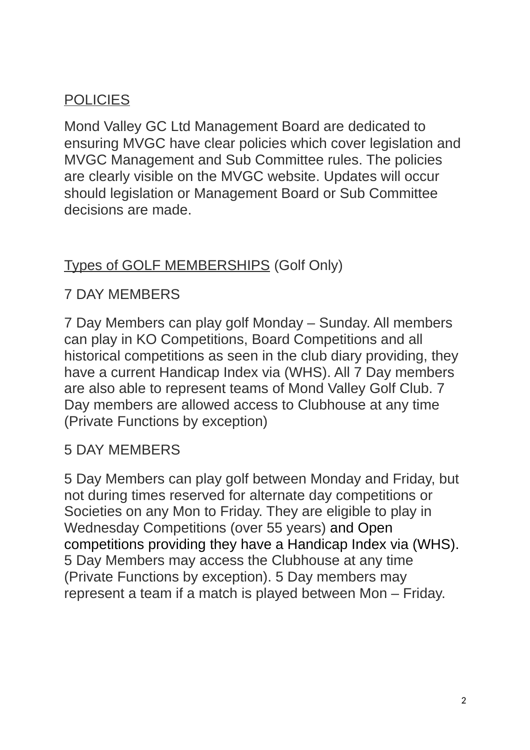# **POLICIES**

Mond Valley GC Ltd Management Board are dedicated to ensuring MVGC have clear policies which cover legislation and MVGC Management and Sub Committee rules. The policies are clearly visible on the MVGC website. Updates will occur should legislation or Management Board or Sub Committee decisions are made.

#### Types of GOLF MEMBERSHIPS (Golf Only)

#### 7 DAY MEMBERS

7 Day Members can play golf Monday – Sunday. All members can play in KO Competitions, Board Competitions and all historical competitions as seen in the club diary providing, they have a current Handicap Index via (WHS). All 7 Day members are also able to represent teams of Mond Valley Golf Club. 7 Day members are allowed access to Clubhouse at any time (Private Functions by exception)

#### 5 DAY MEMBERS

5 Day Members can play golf between Monday and Friday, but not during times reserved for alternate day competitions or Societies on any Mon to Friday. They are eligible to play in Wednesday Competitions (over 55 years) and Open competitions providing they have a Handicap Index via (WHS). 5 Day Members may access the Clubhouse at any time (Private Functions by exception). 5 Day members may represent a team if a match is played between Mon – Friday.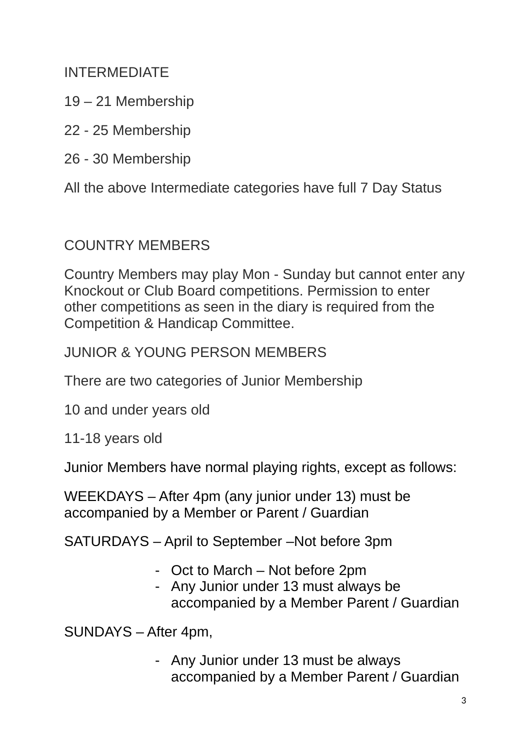INTERMEDIATE

- 19 21 Membership
- 22 25 Membership
- 26 30 Membership

All the above Intermediate categories have full 7 Day Status

#### COUNTRY MEMBERS

Country Members may play Mon - Sunday but cannot enter any Knockout or Club Board competitions. Permission to enter other competitions as seen in the diary is required from the Competition & Handicap Committee.

JUNIOR & YOUNG PERSON MEMBERS

There are two categories of Junior Membership

10 and under years old

11-18 years old

Junior Members have normal playing rights, except as follows:

WEEKDAYS – After 4pm (any junior under 13) must be accompanied by a Member or Parent / Guardian

SATURDAYS – April to September –Not before 3pm

- Oct to March Not before 2pm
- Any Junior under 13 must always be accompanied by a Member Parent / Guardian

SUNDAYS – After 4pm,

- Any Junior under 13 must be always accompanied by a Member Parent / Guardian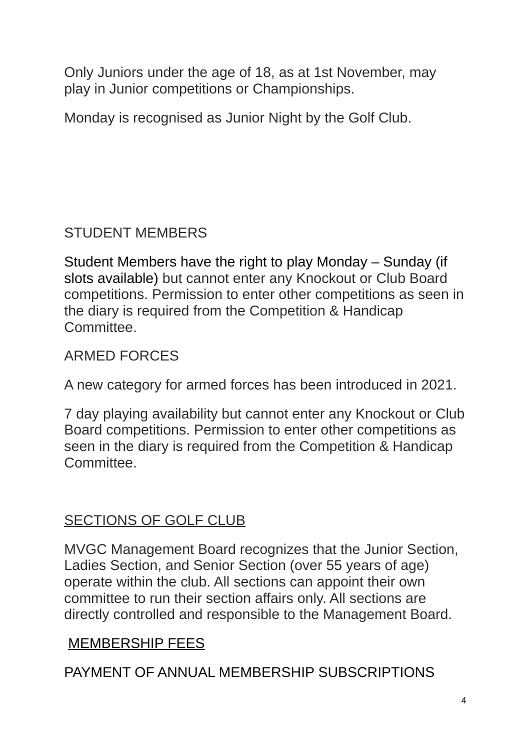Only Juniors under the age of 18, as at 1st November, may play in Junior competitions or Championships.

Monday is recognised as Junior Night by the Golf Club.

# STUDENT MEMBERS

Student Members have the right to play Monday – Sunday (if slots available) but cannot enter any Knockout or Club Board competitions. Permission to enter other competitions as seen in the diary is required from the Competition & Handicap Committee.

ARMED FORCES

A new category for armed forces has been introduced in 2021.

7 day playing availability but cannot enter any Knockout or Club Board competitions. Permission to enter other competitions as seen in the diary is required from the Competition & Handicap **Committee** 

# SECTIONS OF GOLF CLUB

MVGC Management Board recognizes that the Junior Section, Ladies Section, and Senior Section (over 55 years of age) operate within the club. All sections can appoint their own committee to run their section affairs only. All sections are directly controlled and responsible to the Management Board.

# MEMBERSHIP FEES

PAYMENT OF ANNUAL MEMBERSHIP SUBSCRIPTIONS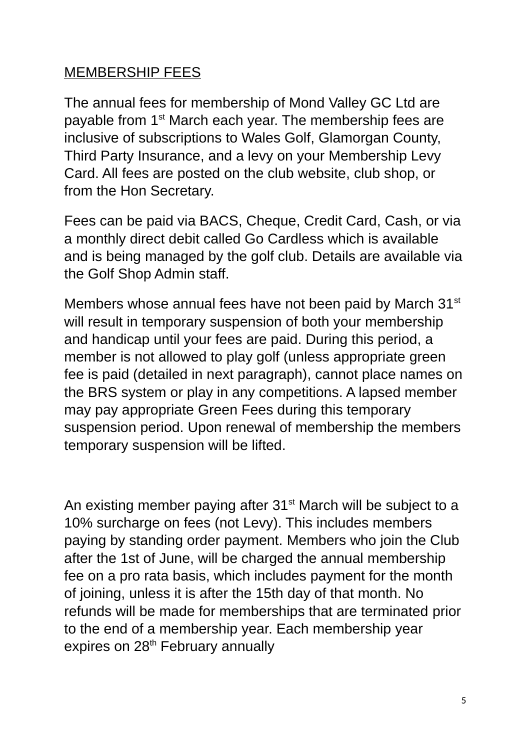### MEMBERSHIP FEES

The annual fees for membership of Mond Valley GC Ltd are payable from 1<sup>st</sup> March each year. The membership fees are inclusive of subscriptions to Wales Golf, Glamorgan County, Third Party Insurance, and a levy on your Membership Levy Card. All fees are posted on the club website, club shop, or from the Hon Secretary.

Fees can be paid via BACS, Cheque, Credit Card, Cash, or via a monthly direct debit called Go Cardless which is available and is being managed by the golf club. Details are available via the Golf Shop Admin staff.

Members whose annual fees have not been paid by March 31<sup>st</sup> will result in temporary suspension of both your membership and handicap until your fees are paid. During this period, a member is not allowed to play golf (unless appropriate green fee is paid (detailed in next paragraph), cannot place names on the BRS system or play in any competitions. A lapsed member may pay appropriate Green Fees during this temporary suspension period. Upon renewal of membership the members temporary suspension will be lifted.

An existing member paying after  $31<sup>st</sup>$  March will be subject to a 10% surcharge on fees (not Levy). This includes members paying by standing order payment. Members who join the Club after the 1st of June, will be charged the annual membership fee on a pro rata basis, which includes payment for the month of joining, unless it is after the 15th day of that month. No refunds will be made for memberships that are terminated prior to the end of a membership year. Each membership year expires on 28<sup>th</sup> February annually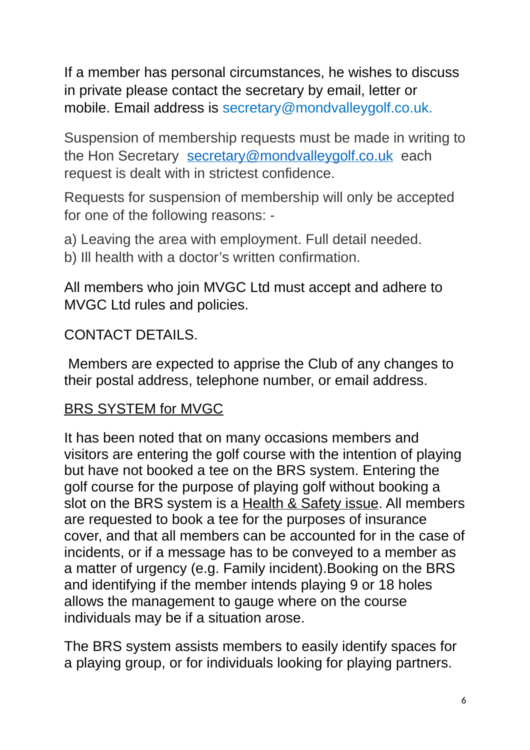If a member has personal circumstances, he wishes to discuss in private please contact the secretary by email, letter or mobile. Email address is secretary@mondvalleygolf.co.uk.

Suspension of membership requests must be made in writing to the Hon Secretary [secretary@mondvalleygolf.co.uk](mailto:secretary@mondvalleygolf.co.uk) each request is dealt with in strictest confidence.

Requests for suspension of membership will only be accepted for one of the following reasons: -

a) Leaving the area with employment. Full detail needed. b) Ill health with a doctor's written confirmation.

All members who join MVGC Ltd must accept and adhere to MVGC Ltd rules and policies.

### CONTACT DETAILS.

 Members are expected to apprise the Club of any changes to their postal address, telephone number, or email address.

# BRS SYSTEM for MVGC

It has been noted that on many occasions members and visitors are entering the golf course with the intention of playing but have not booked a tee on the BRS system. Entering the golf course for the purpose of playing golf without booking a slot on the BRS system is a Health & Safety issue. All members are requested to book a tee for the purposes of insurance cover, and that all members can be accounted for in the case of incidents, or if a message has to be conveyed to a member as a matter of urgency (e.g. Family incident).Booking on the BRS and identifying if the member intends playing 9 or 18 holes allows the management to gauge where on the course individuals may be if a situation arose.

The BRS system assists members to easily identify spaces for a playing group, or for individuals looking for playing partners.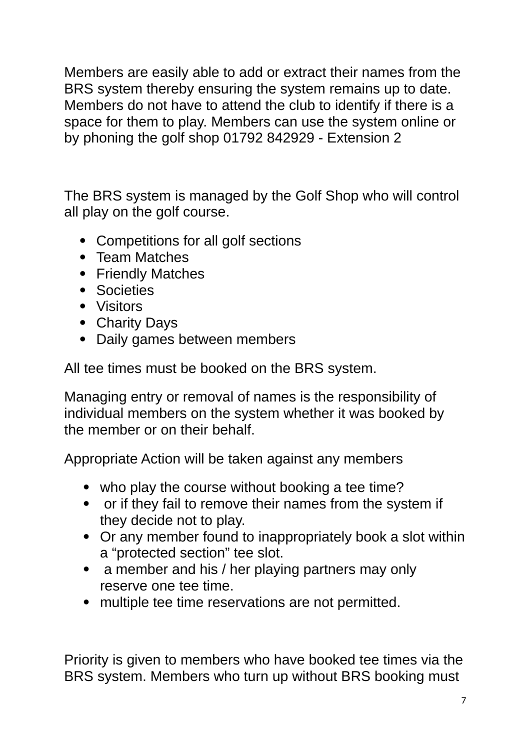Members are easily able to add or extract their names from the BRS system thereby ensuring the system remains up to date. Members do not have to attend the club to identify if there is a space for them to play. Members can use the system online or by phoning the golf shop 01792 842929 - Extension 2

The BRS system is managed by the Golf Shop who will control all play on the golf course.

- Competitions for all golf sections
- Team Matches
- Friendly Matches
- Societies
- Visitors
- Charity Days
- Daily games between members

All tee times must be booked on the BRS system.

Managing entry or removal of names is the responsibility of individual members on the system whether it was booked by the member or on their behalf.

Appropriate Action will be taken against any members

- who play the course without booking a tee time?
- or if they fail to remove their names from the system if they decide not to play.
- Or any member found to inappropriately book a slot within a "protected section" tee slot.
- a member and his / her playing partners may only reserve one tee time.
- multiple tee time reservations are not permitted.

Priority is given to members who have booked tee times via the BRS system. Members who turn up without BRS booking must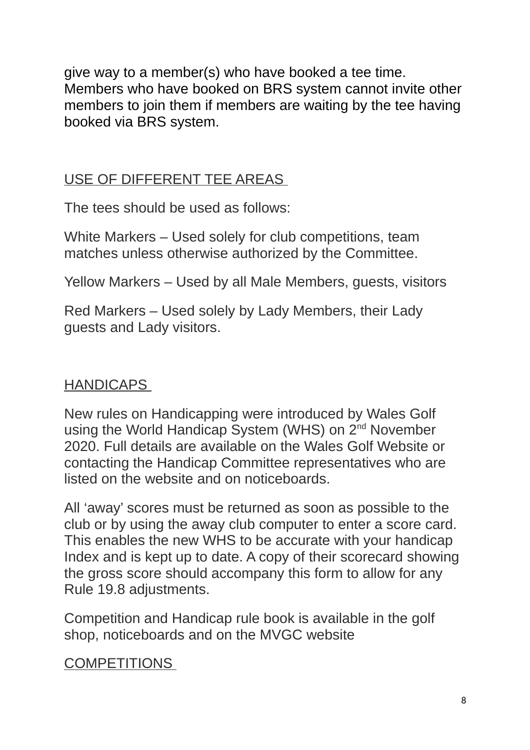give way to a member(s) who have booked a tee time. Members who have booked on BRS system cannot invite other members to join them if members are waiting by the tee having booked via BRS system.

### USE OF DIFFERENT TEE AREAS

The tees should be used as follows:

White Markers – Used solely for club competitions, team matches unless otherwise authorized by the Committee.

Yellow Markers – Used by all Male Members, guests, visitors

Red Markers – Used solely by Lady Members, their Lady guests and Lady visitors.

# HANDICAPS

New rules on Handicapping were introduced by Wales Golf using the World Handicap System (WHS) on 2<sup>nd</sup> November 2020. Full details are available on the Wales Golf Website or contacting the Handicap Committee representatives who are listed on the website and on noticeboards.

All 'away' scores must be returned as soon as possible to the club or by using the away club computer to enter a score card. This enables the new WHS to be accurate with your handicap Index and is kept up to date. A copy of their scorecard showing the gross score should accompany this form to allow for any Rule 19.8 adjustments.

Competition and Handicap rule book is available in the golf shop, noticeboards and on the MVGC website

#### **COMPETITIONS**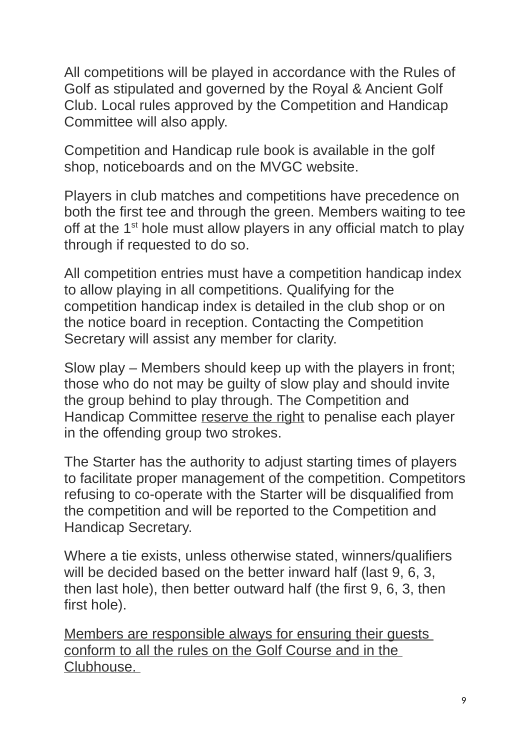All competitions will be played in accordance with the Rules of Golf as stipulated and governed by the Royal & Ancient Golf Club. Local rules approved by the Competition and Handicap Committee will also apply.

Competition and Handicap rule book is available in the golf shop, noticeboards and on the MVGC website.

Players in club matches and competitions have precedence on both the first tee and through the green. Members waiting to tee off at the  $1<sup>st</sup>$  hole must allow players in any official match to play through if requested to do so.

All competition entries must have a competition handicap index to allow playing in all competitions. Qualifying for the competition handicap index is detailed in the club shop or on the notice board in reception. Contacting the Competition Secretary will assist any member for clarity.

Slow play – Members should keep up with the players in front; those who do not may be guilty of slow play and should invite the group behind to play through. The Competition and Handicap Committee reserve the right to penalise each player in the offending group two strokes.

The Starter has the authority to adjust starting times of players to facilitate proper management of the competition. Competitors refusing to co-operate with the Starter will be disqualified from the competition and will be reported to the Competition and Handicap Secretary.

Where a tie exists, unless otherwise stated, winners/qualifiers will be decided based on the better inward half (last 9, 6, 3, then last hole), then better outward half (the first 9, 6, 3, then first hole).

Members are responsible always for ensuring their guests conform to all the rules on the Golf Course and in the Clubhouse.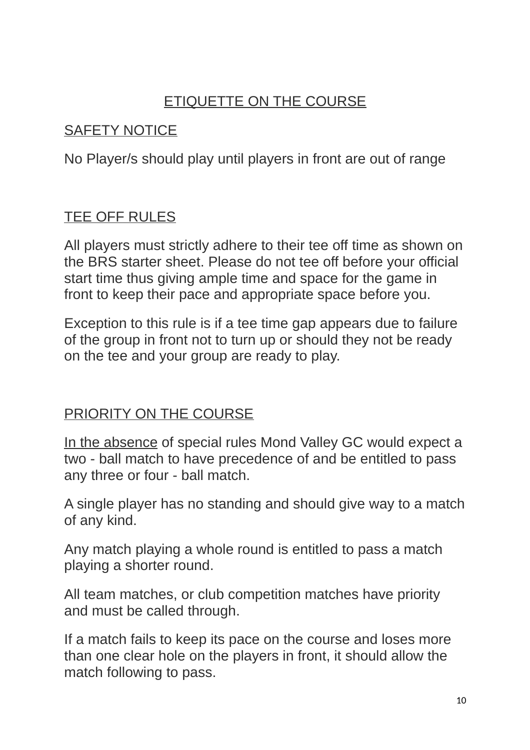# ETIQUETTE ON THE COURSE

#### SAFETY NOTICE

No Player/s should play until players in front are out of range

### TEE OFF RULES

All players must strictly adhere to their tee off time as shown on the BRS starter sheet. Please do not tee off before your official start time thus giving ample time and space for the game in front to keep their pace and appropriate space before you.

Exception to this rule is if a tee time gap appears due to failure of the group in front not to turn up or should they not be ready on the tee and your group are ready to play.

#### PRIORITY ON THE COURSE

In the absence of special rules Mond Valley GC would expect a two - ball match to have precedence of and be entitled to pass any three or four - ball match.

A single player has no standing and should give way to a match of any kind.

Any match playing a whole round is entitled to pass a match playing a shorter round.

All team matches, or club competition matches have priority and must be called through.

If a match fails to keep its pace on the course and loses more than one clear hole on the players in front, it should allow the match following to pass.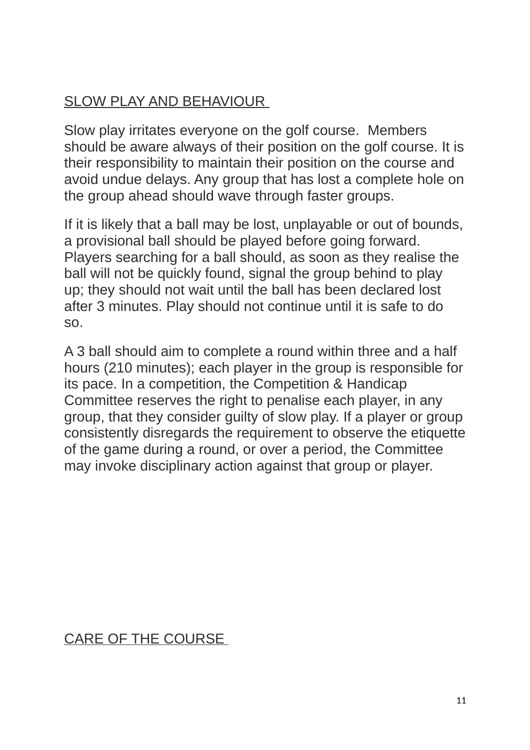# SLOW PLAY AND BEHAVIOUR

Slow play irritates everyone on the golf course. Members should be aware always of their position on the golf course. It is their responsibility to maintain their position on the course and avoid undue delays. Any group that has lost a complete hole on the group ahead should wave through faster groups.

If it is likely that a ball may be lost, unplayable or out of bounds, a provisional ball should be played before going forward. Players searching for a ball should, as soon as they realise the ball will not be quickly found, signal the group behind to play up; they should not wait until the ball has been declared lost after 3 minutes. Play should not continue until it is safe to do so.

A 3 ball should aim to complete a round within three and a half hours (210 minutes); each player in the group is responsible for its pace. In a competition, the Competition & Handicap Committee reserves the right to penalise each player, in any group, that they consider guilty of slow play. If a player or group consistently disregards the requirement to observe the etiquette of the game during a round, or over a period, the Committee may invoke disciplinary action against that group or player.

# CARE OF THE COURSE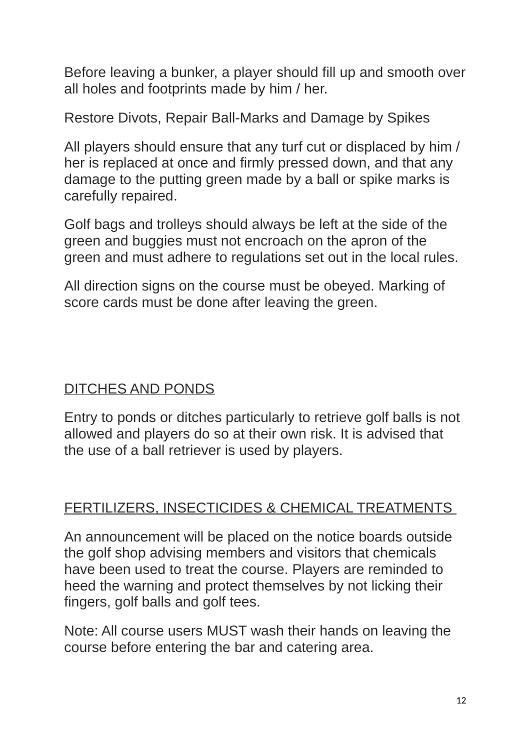Before leaving a bunker, a player should fill up and smooth over all holes and footprints made by him / her.

Restore Divots, Repair Ball-Marks and Damage by Spikes

All players should ensure that any turf cut or displaced by him / her is replaced at once and firmly pressed down, and that any damage to the putting green made by a ball or spike marks is carefully repaired.

Golf bags and trolleys should always be left at the side of the green and buggies must not encroach on the apron of the green and must adhere to regulations set out in the local rules.

All direction signs on the course must be obeyed. Marking of score cards must be done after leaving the green.

# DITCHES AND PONDS

Entry to ponds or ditches particularly to retrieve golf balls is not allowed and players do so at their own risk. It is advised that the use of a ball retriever is used by players.

#### FERTILIZERS, INSECTICIDES & CHEMICAL TREATMENTS

An announcement will be placed on the notice boards outside the golf shop advising members and visitors that chemicals have been used to treat the course. Players are reminded to heed the warning and protect themselves by not licking their fingers, golf balls and golf tees.

Note: All course users MUST wash their hands on leaving the course before entering the bar and catering area.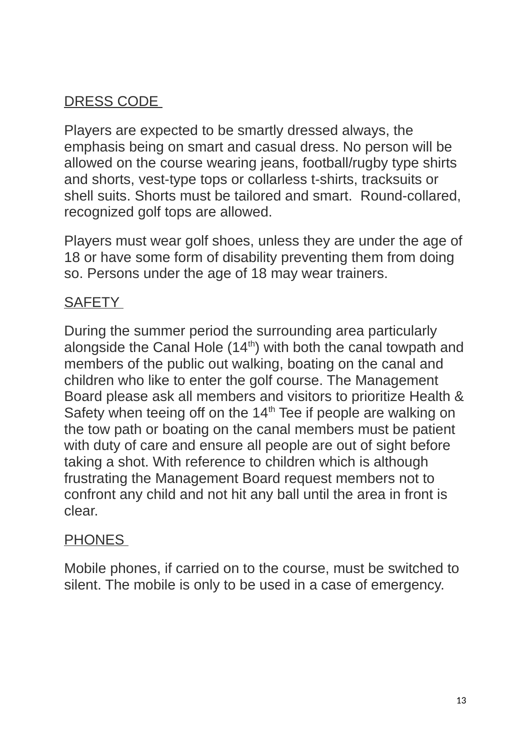# DRESS CODE

Players are expected to be smartly dressed always, the emphasis being on smart and casual dress. No person will be allowed on the course wearing jeans, football/rugby type shirts and shorts, vest-type tops or collarless t-shirts, tracksuits or shell suits. Shorts must be tailored and smart. Round-collared, recognized golf tops are allowed.

Players must wear golf shoes, unless they are under the age of 18 or have some form of disability preventing them from doing so. Persons under the age of 18 may wear trainers.

# **SAFETY**

During the summer period the surrounding area particularly alongside the Canal Hole  $(14<sup>th</sup>)$  with both the canal towpath and members of the public out walking, boating on the canal and children who like to enter the golf course. The Management Board please ask all members and visitors to prioritize Health & Safety when teeing off on the  $14<sup>th</sup>$  Tee if people are walking on the tow path or boating on the canal members must be patient with duty of care and ensure all people are out of sight before taking a shot. With reference to children which is although frustrating the Management Board request members not to confront any child and not hit any ball until the area in front is clear.

#### **PHONES**

Mobile phones, if carried on to the course, must be switched to silent. The mobile is only to be used in a case of emergency.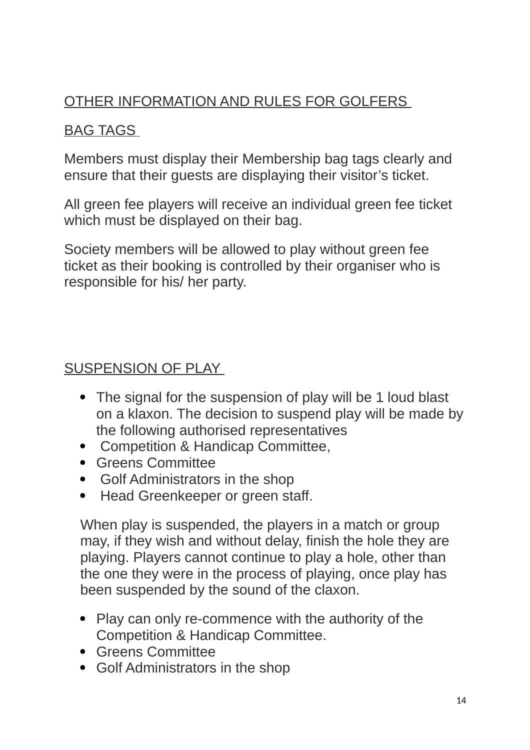# OTHER INFORMATION AND RULES FOR GOLFERS

# BAG TAGS

Members must display their Membership bag tags clearly and ensure that their guests are displaying their visitor's ticket.

All green fee players will receive an individual green fee ticket which must be displayed on their bag.

Society members will be allowed to play without green fee ticket as their booking is controlled by their organiser who is responsible for his/ her party.

#### SUSPENSION OF PLAY

- The signal for the suspension of play will be 1 loud blast on a klaxon. The decision to suspend play will be made by the following authorised representatives
- Competition & Handicap Committee,
- Greens Committee
- Golf Administrators in the shop
- Head Greenkeeper or green staff.

When play is suspended, the players in a match or group may, if they wish and without delay, finish the hole they are playing. Players cannot continue to play a hole, other than the one they were in the process of playing, once play has been suspended by the sound of the claxon.

- Play can only re-commence with the authority of the Competition & Handicap Committee.
- Greens Committee
- Golf Administrators in the shop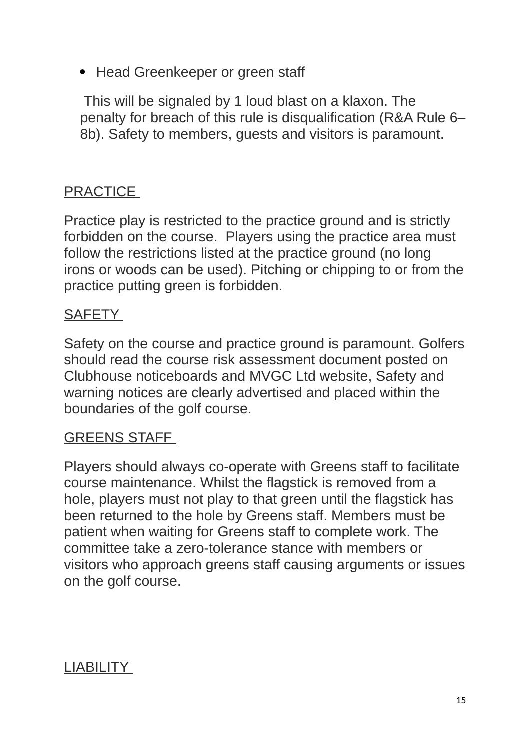• Head Greenkeeper or green staff

 This will be signaled by 1 loud blast on a klaxon. The penalty for breach of this rule is disqualification (R&A Rule 6– 8b). Safety to members, guests and visitors is paramount.

# PRACTICE

Practice play is restricted to the practice ground and is strictly forbidden on the course. Players using the practice area must follow the restrictions listed at the practice ground (no long irons or woods can be used). Pitching or chipping to or from the practice putting green is forbidden.

#### **SAFETY**

Safety on the course and practice ground is paramount. Golfers should read the course risk assessment document posted on Clubhouse noticeboards and MVGC Ltd website, Safety and warning notices are clearly advertised and placed within the boundaries of the golf course.

#### GREENS STAFF

Players should always co-operate with Greens staff to facilitate course maintenance. Whilst the flagstick is removed from a hole, players must not play to that green until the flagstick has been returned to the hole by Greens staff. Members must be patient when waiting for Greens staff to complete work. The committee take a zero-tolerance stance with members or visitors who approach greens staff causing arguments or issues on the golf course.

#### LIABILITY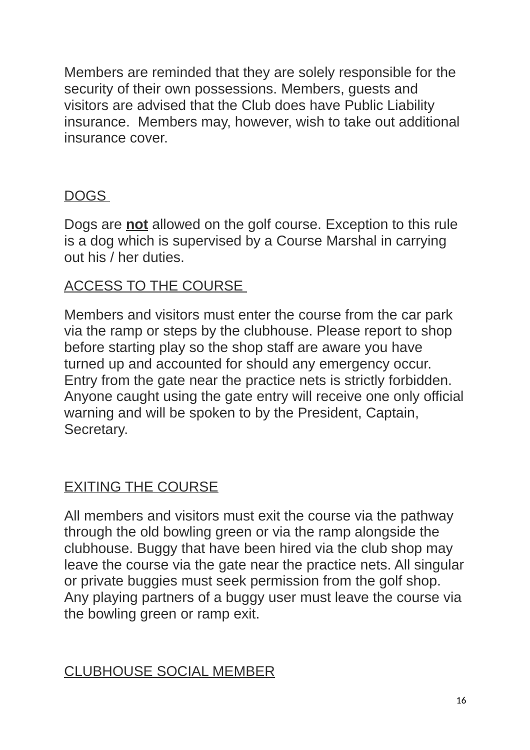Members are reminded that they are solely responsible for the security of their own possessions. Members, guests and visitors are advised that the Club does have Public Liability insurance. Members may, however, wish to take out additional insurance cover.

### DOGS

Dogs are **not** allowed on the golf course. Exception to this rule is a dog which is supervised by a Course Marshal in carrying out his / her duties.

# ACCESS TO THE COURSE

Members and visitors must enter the course from the car park via the ramp or steps by the clubhouse. Please report to shop before starting play so the shop staff are aware you have turned up and accounted for should any emergency occur. Entry from the gate near the practice nets is strictly forbidden. Anyone caught using the gate entry will receive one only official warning and will be spoken to by the President, Captain, Secretary.

# EXITING THE COURSE

All members and visitors must exit the course via the pathway through the old bowling green or via the ramp alongside the clubhouse. Buggy that have been hired via the club shop may leave the course via the gate near the practice nets. All singular or private buggies must seek permission from the golf shop. Any playing partners of a buggy user must leave the course via the bowling green or ramp exit.

# CLUBHOUSE SOCIAL MEMBER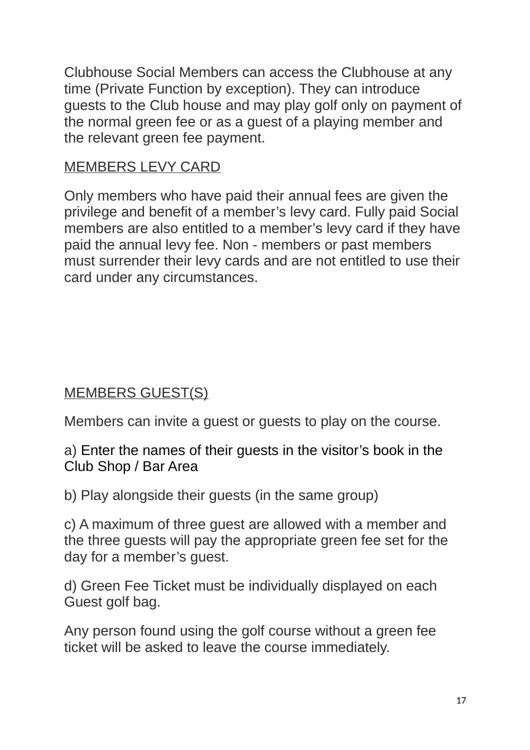Clubhouse Social Members can access the Clubhouse at any time (Private Function by exception). They can introduce guests to the Club house and may play golf only on payment of the normal green fee or as a guest of a playing member and the relevant green fee payment.

#### MEMBERS LEVY CARD

Only members who have paid their annual fees are given the privilege and benefit of a member's levy card. Fully paid Social members are also entitled to a member's levy card if they have paid the annual levy fee. Non - members or past members must surrender their levy cards and are not entitled to use their card under any circumstances.

# MEMBERS GUEST(S)

Members can invite a guest or guests to play on the course.

a) Enter the names of their guests in the visitor's book in the Club Shop / Bar Area

b) Play alongside their guests (in the same group)

c) A maximum of three guest are allowed with a member and the three guests will pay the appropriate green fee set for the day for a member's guest.

d) Green Fee Ticket must be individually displayed on each Guest golf bag.

Any person found using the golf course without a green fee ticket will be asked to leave the course immediately.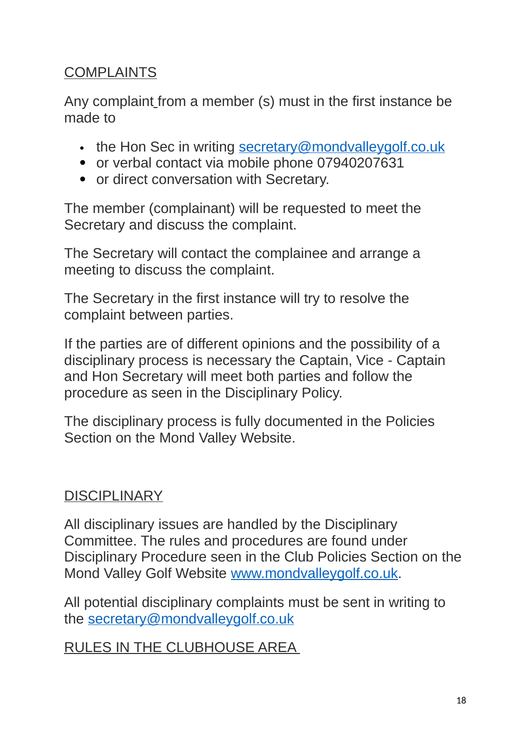# COMPLAINTS

Any complaint from a member (s) must in the first instance be made to

- $\cdot$  the Hon Sec in writing secretary@mondvalleygolf.co.uk
- or verbal contact via mobile phone 07940207631
- or direct conversation with Secretary.

The member (complainant) will be requested to meet the Secretary and discuss the complaint.

The Secretary will contact the complainee and arrange a meeting to discuss the complaint.

The Secretary in the first instance will try to resolve the complaint between parties.

If the parties are of different opinions and the possibility of a disciplinary process is necessary the Captain, Vice - Captain and Hon Secretary will meet both parties and follow the procedure as seen in the Disciplinary Policy.

The disciplinary process is fully documented in the Policies Section on the Mond Valley Website.

# **DISCIPLINARY**

All disciplinary issues are handled by the Disciplinary Committee. The rules and procedures are found under Disciplinary Procedure seen in the Club Policies Section on the Mond Valley Golf Website [www.mondvalleygolf.co.uk.](http://www.mondvalleygolf.co.uk/)

All potential disciplinary complaints must be sent in writing to the [secretary@mondvalleygolf.co.uk](mailto:secretary@mondvalleygolf.co.uk)

RULES IN THE CLUBHOUSE AREA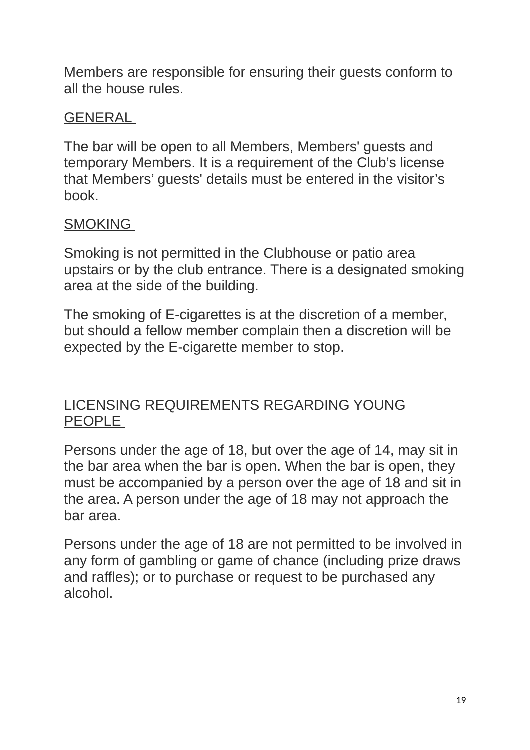Members are responsible for ensuring their guests conform to all the house rules.

#### GENERAL

The bar will be open to all Members, Members' guests and temporary Members. It is a requirement of the Club's license that Members' guests' details must be entered in the visitor's book.

### **SMOKING**

Smoking is not permitted in the Clubhouse or patio area upstairs or by the club entrance. There is a designated smoking area at the side of the building.

The smoking of E-cigarettes is at the discretion of a member, but should a fellow member complain then a discretion will be expected by the E-cigarette member to stop.

#### LICENSING REQUIREMENTS REGARDING YOUNG PEOPLE

Persons under the age of 18, but over the age of 14, may sit in the bar area when the bar is open. When the bar is open, they must be accompanied by a person over the age of 18 and sit in the area. A person under the age of 18 may not approach the bar area.

Persons under the age of 18 are not permitted to be involved in any form of gambling or game of chance (including prize draws and raffles); or to purchase or request to be purchased any alcohol.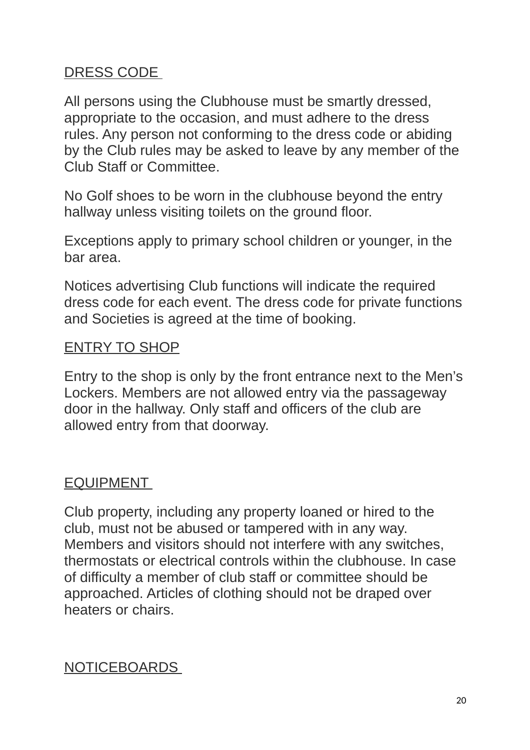#### DRESS CODE

All persons using the Clubhouse must be smartly dressed, appropriate to the occasion, and must adhere to the dress rules. Any person not conforming to the dress code or abiding by the Club rules may be asked to leave by any member of the Club Staff or Committee.

No Golf shoes to be worn in the clubhouse beyond the entry hallway unless visiting toilets on the ground floor.

Exceptions apply to primary school children or younger, in the bar area.

Notices advertising Club functions will indicate the required dress code for each event. The dress code for private functions and Societies is agreed at the time of booking.

#### ENTRY TO SHOP

Entry to the shop is only by the front entrance next to the Men's Lockers. Members are not allowed entry via the passageway door in the hallway. Only staff and officers of the club are allowed entry from that doorway.

#### EQUIPMENT

Club property, including any property loaned or hired to the club, must not be abused or tampered with in any way. Members and visitors should not interfere with any switches, thermostats or electrical controls within the clubhouse. In case of difficulty a member of club staff or committee should be approached. Articles of clothing should not be draped over heaters or chairs.

#### NOTICEBOARDS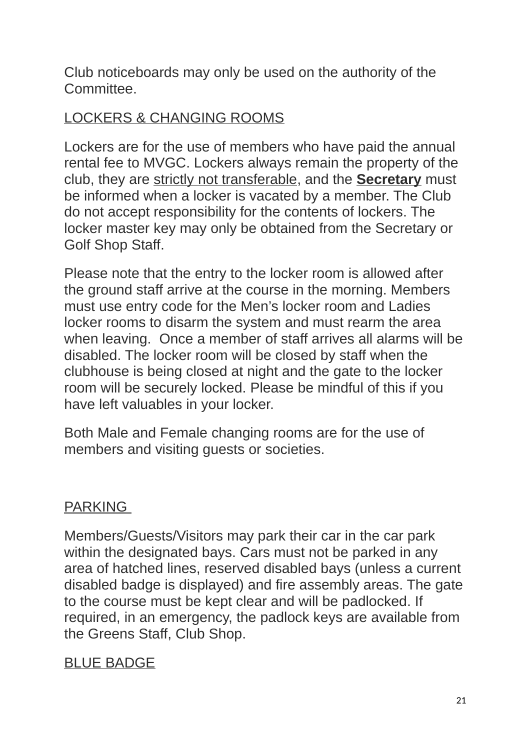Club noticeboards may only be used on the authority of the Committee.

### LOCKERS & CHANGING ROOMS

Lockers are for the use of members who have paid the annual rental fee to MVGC. Lockers always remain the property of the club, they are strictly not transferable, and the **Secretary** must be informed when a locker is vacated by a member. The Club do not accept responsibility for the contents of lockers. The locker master key may only be obtained from the Secretary or Golf Shop Staff.

Please note that the entry to the locker room is allowed after the ground staff arrive at the course in the morning. Members must use entry code for the Men's locker room and Ladies locker rooms to disarm the system and must rearm the area when leaving. Once a member of staff arrives all alarms will be disabled. The locker room will be closed by staff when the clubhouse is being closed at night and the gate to the locker room will be securely locked. Please be mindful of this if you have left valuables in your locker.

Both Male and Female changing rooms are for the use of members and visiting guests or societies.

#### **PARKING**

Members/Guests/Visitors may park their car in the car park within the designated bays. Cars must not be parked in any area of hatched lines, reserved disabled bays (unless a current disabled badge is displayed) and fire assembly areas. The gate to the course must be kept clear and will be padlocked. If required, in an emergency, the padlock keys are available from the Greens Staff, Club Shop.

#### BLUE BADGE